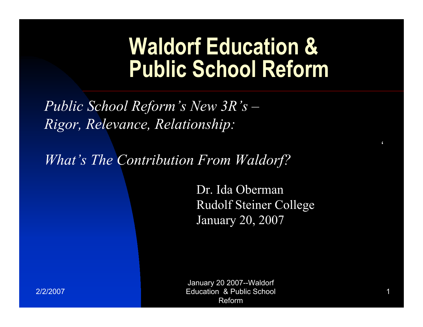## **Waldorf Education & Public School Reform**

Public School Reform's New  $3R's$  – Rigor, Relevance, Relationship:

What's The Contribution From Waldorf?

Dr. Ida Oberman **Rudolf Steiner College** January 20, 2007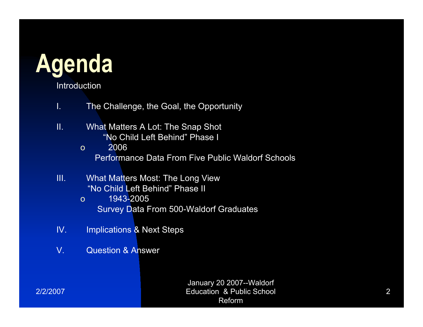

Introduction

- $\mathbf{L}$ The Challenge, the Goal, the Opportunity
- $\Pi$ . What Matters A Lot: The Snap Shot "No Child Left Behind" Phase I
	- 2006  $\Omega$ **Performance Data From Five Public Waldorf Schools**
- TIL. **What Matters Most: The Long View** "No Child Left Behind" Phase II
	- 1943-2005  $\Omega$ **Survey Data From 500-Waldorf Graduates**
- $IV.$ **Implications & Next Steps**
- $V_{\cdot}$ **Question & Answer**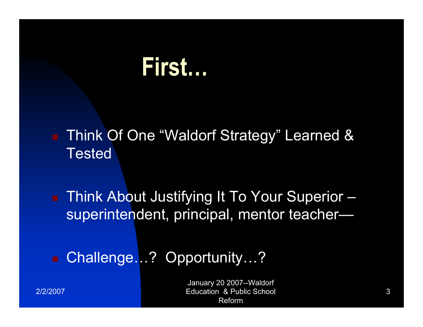## First...

**Think Of One "Waldorf Strategy" Learned & Tested** 

■ Think About Justifying It To Your Superior superintendent, principal, mentor teacher-

Challenge...? Opportunity...?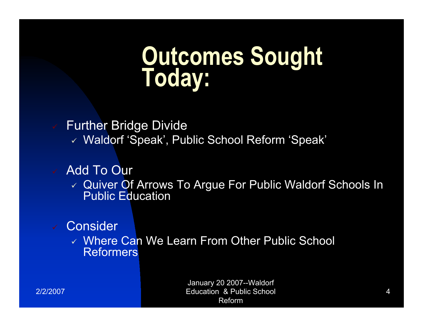# Outcomes Sought<br>Today:

**Further Bridge Divide** 

V Waldorf 'Speak', Public School Reform 'Speak'

### **Add To Our**

√ Quiver Of Arrows To Argue For Public Waldorf Schools In **Public Education** 

#### Consider

↓ Where Can We Learn From Other Public School **Reformers**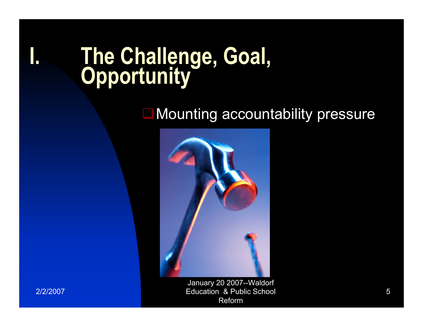# The Challenge, Goal,

Mounting accountability pressure



January 20 2007--Waldorf **Education & Public School** Reform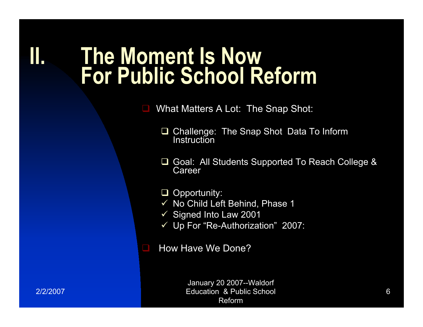### II. The Moment Is Now For Public School Reform

What Matters A Lot: The Snap Shot:

- Challenge: The Snap Shot Data To Inform  $\Box$ Instruction
- Goal: All Students Supported To Reach College &  $\Box$ Career

 $\Box$  Opportunity:

- √ No Child Left Behind, Phase 1
- $\checkmark$  Signed Into Law 2001
- ✓ Up For "Re-Authorization" 2007:

How Have We Done?

ш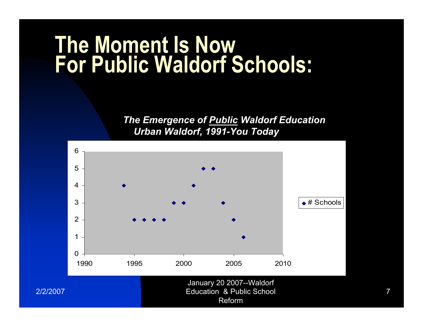# The Moment Is Now<br>For Public Waldorf Schools:

The Emergence of Public Waldorf Education Urban Waldorf, 1991-You Today

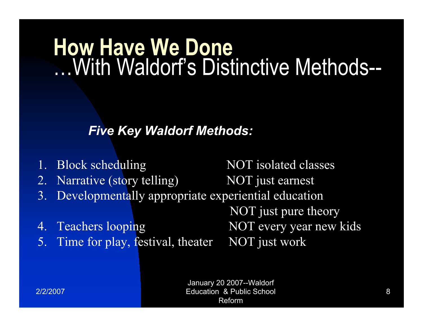## **How Have We Done** With Waldorf's Distinctive Methods--

### **Five Key Waldorf Methods:**

1. Block scheduling **NOT** isolated classes Narrative (story telling) NOT just earnest  $2.$ Developmentally appropriate experiential education  $3.$ NOT just pure theory NOT every year new kids 4. Teachers looping 5. Time for play, festival, theater NOT just work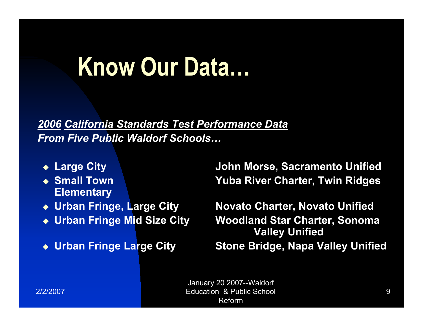## Know Our Data...

2006 California Standards Test Performance Data **From Five Public Waldorf Schools...** 

- ◆ Large City
- ◆ Small Town **Elementary**
- ◆ Urban Fringe, Large City
- Urban Fringe Mid Size City
- ◆ Urban Fringe Large City

**John Morse, Sacramento Unified Yuba River Charter, Twin Ridges** 

**Novato Charter, Novato Unified Woodland Star Charter, Sonoma Valley Unified Stone Bridge, Napa Valley Unified**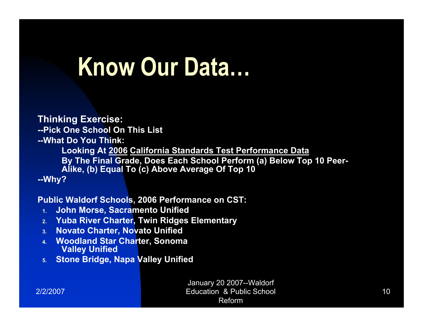## Know Our Data...

#### **Thinking Exercise:**

--Pick One School On This List

--What Do You Think:

Looking At 2006 California Standards Test Performance Data By The Final Grade, Does Each School Perform (a) Below Top 10 Peer-Alike, (b) Equal To (c) Above Average Of Top 10 --Why?

**Public Waldorf Schools, 2006 Performance on CST:** 

- **John Morse, Sacramento Unified**  $4<sup>2</sup>$
- **Yuba River Charter, Twin Ridges Elementary**  $2<sup>2</sup>$
- **Novato Charter, Novato Unified**  $3.$
- 4. Woodland Star Charter, Sonoma **Valley Unified**
- **Stone Bridge, Napa Valley Unified**  $5.$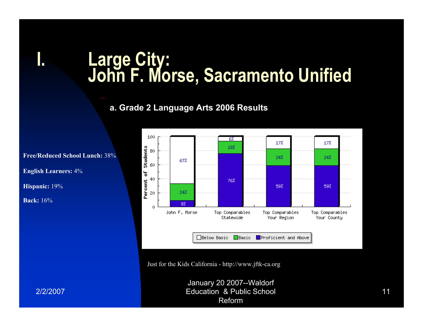# Large City:<br>John F. Morse, Sacramento Unified

#### a. Grade 2 Language Arts 2006 Results



Just for the Kids California - http://www.jftk-ca.org

January 20 2007--Waldorf **Education & Public School** Reform

**Free/Reduced School Lunch: 38%** 

**English Learners: 4%** 

Hispanic: 19%

**Back:** 16%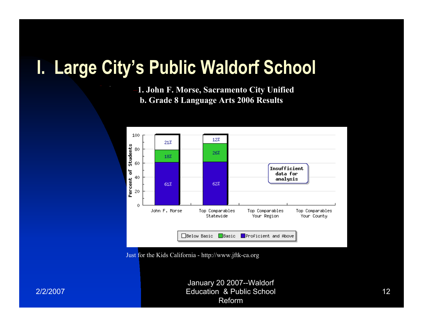### I. Large City's Public Waldorf School

1. John F. Morse, Sacramento City Unified b. Grade 8 Language Arts 2006 Results



Just for the Kids California - http://www.jftk-ca.org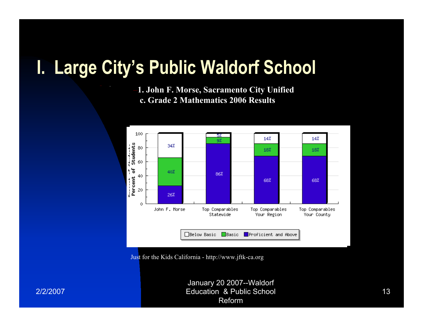### I. Large City's Public Waldorf School

1. John F. Morse, Sacramento City Unified c. Grade 2 Mathematics 2006 Results



Just for the Kids California - http://www.jftk-ca.org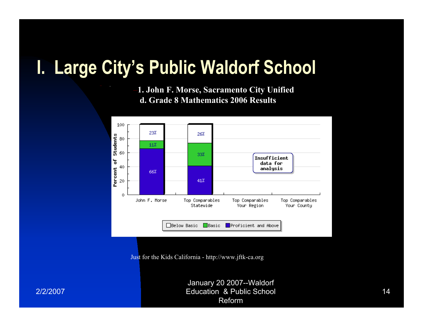### I. Large City's Public Waldorf School

1. John F. Morse, Sacramento City Unified d. Grade 8 Mathematics 2006 Results



Just for the Kids California - http://www.jftk-ca.org

January 20 2007--Waldorf **Education & Public School** Reform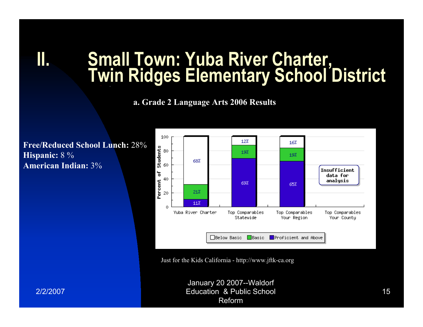# **Small Town: Yuba River Charter,<br>Twin Ridges Elementary School District**

a. Grade 2 Language Arts 2006 Results

**Free/Reduced School Lunch: 28%** Hispanic: 8 % **American Indian: 3%** 



Just for the Kids California - http://www.jftk-ca.org

January 20 2007--Waldorf **Education & Public School** Reform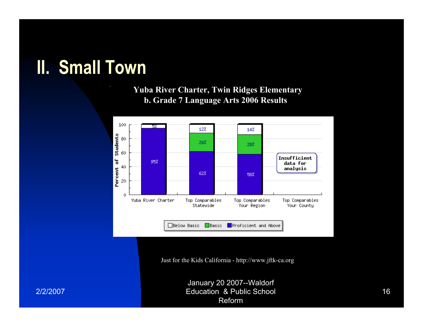### **II. Small Town**

#### **Yuba River Charter, Twin Ridges Elementary** b. Grade 7 Language Arts 2006 Results



Just for the Kids California - http://www.jftk-ca.org

January 20 2007--Waldorf **Education & Public School** Reform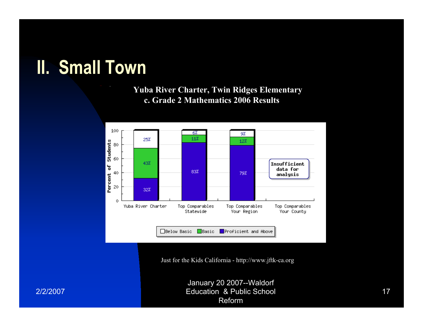### **II. Small Town**

**Yuba River Charter, Twin Ridges Elementary** c. Grade 2 Mathematics 2006 Results



Just for the Kids California - http://www.jftk-ca.org

January 20 2007--Waldorf **Education & Public School** Reform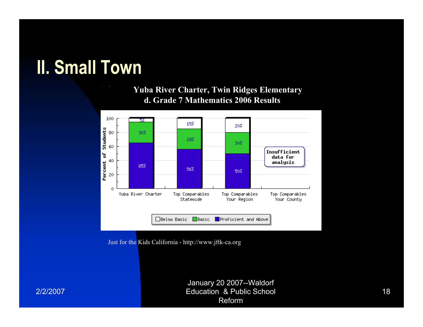### **II. Small Town**

#### **Yuba River Charter, Twin Ridges Elementary** d. Grade 7 Mathematics 2006 Results



Just for the Kids California - http://www.jftk-ca.org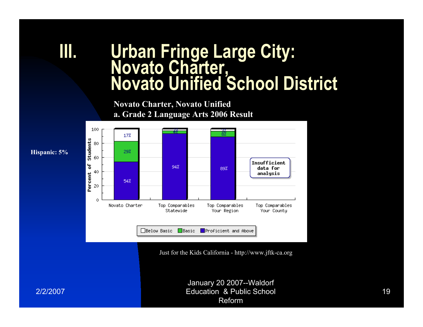# Urban Fringe Large City:<br>Novato Charter,<br>Novato Unified School District

**Novato Charter, Novato Unified** a. Grade 2 Language Arts 2006 Result



Just for the Kids California - http://www.jftk-ca.org

Hispanic: 5%

2/2/2007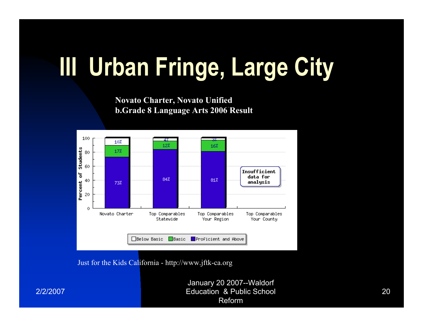# III Urban Fringe, Large City

**Novato Charter, Novato Unified b.Grade 8 Language Arts 2006 Result** 



2/2/2007

**Education & Public School** Reform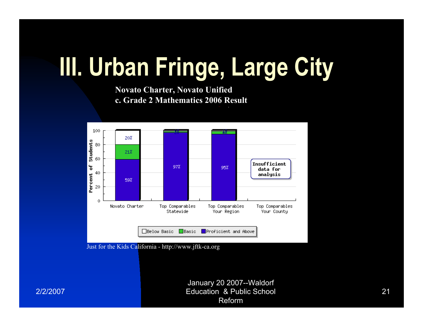# III. Urban Fringe, Large City

**Novato Charter, Novato Unified** c. Grade 2 Mathematics 2006 Result



Just for the Kids California - http://www.jftk-ca.org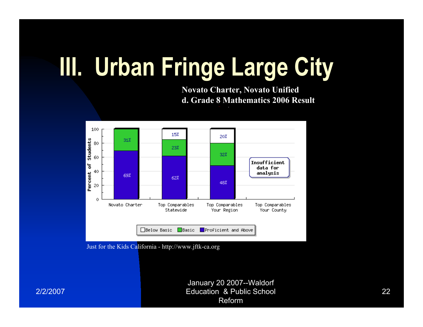# III. Urban Fringe Large City

**Novato Charter, Novato Unified** d. Grade 8 Mathematics 2006 Result



Just for the Kids California - http://www.jftk-ca.org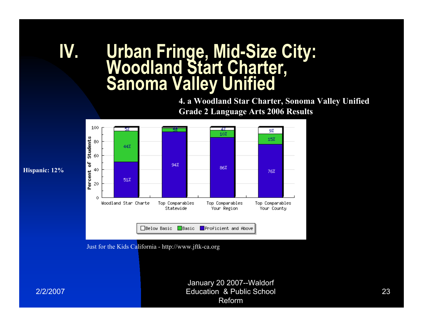## Urban Fringe, Mid-Size City:<br>Woodland Start Charter,<br>Sanoma Valley Unified IV.

4. a Woodland Star Charter, Sonoma Valley Unified **Grade 2 Language Arts 2006 Results** 



Just for the Kids California - http://www.jftk-ca.org

Hispanic: 12%

2/2/2007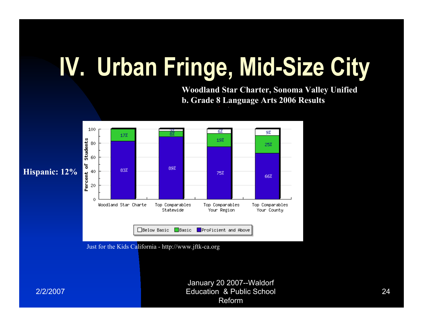# IV. Urban Fringe, Mid-Size City

**Woodland Star Charter, Sonoma Valley Unified** b. Grade 8 Language Arts 2006 Results



Just for the Kids California - http://www.jftk-ca.org

January 20 2007--Waldorf **Education & Public School** Reform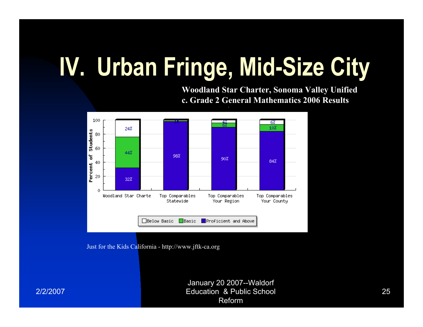# IV. Urban Fringe, Mid-Size City

**Woodland Star Charter, Sonoma Valley Unified** c. Grade 2 General Mathematics 2006 Results



Just for the Kids California - http://www.jftk-ca.org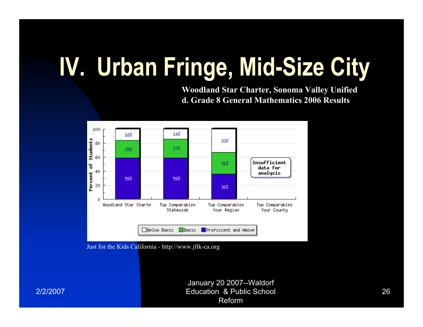# IV. Urban Fringe, Mid-Size City

**Woodland Star Charter, Sonoma Valley Unified** d. Grade 8 General Mathematics 2006 Results



Just for the Kids California - http://www.jftk-ca.org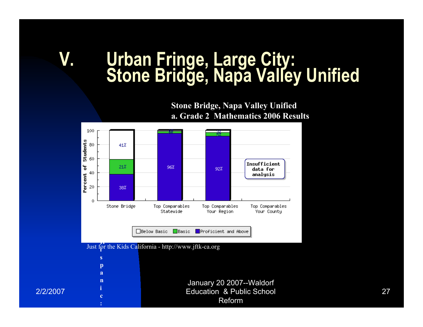# Urban Fringe, Large City:<br>Stone Bridge, Napa Valley Unified

**Stone Bridge, Napa Valley Unified** a. Grade 2 Mathematics 2006 Results

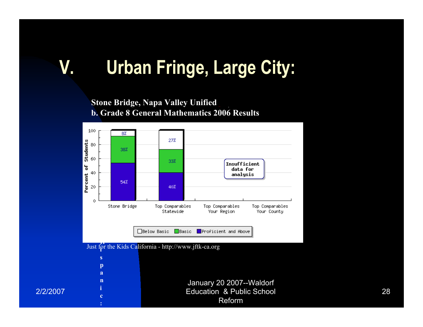## **Urban Fringe, Large City:**

**Stone Bridge, Napa Valley Unified b. Grade 8 General Mathematics 2006 Results** 

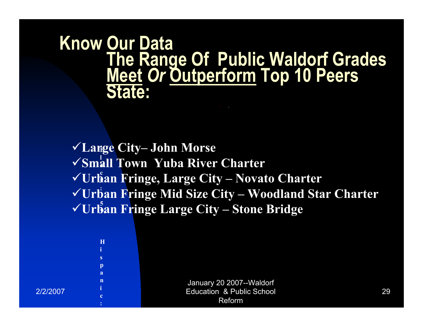## **Know Our Data The Range Of Public Waldorf Grades Meet Or Outperform Top 10 Peers<br>State:**

 $\checkmark$  Large City-John Morse **-**  $\checkmark$ Small Town Yuba River Charter **( √Urban Fringe, Large City – Novato Charter √Urban Fringe Mid Size City – Woodland Star Charter S √Urban Fringe Large City – Stone Bridge**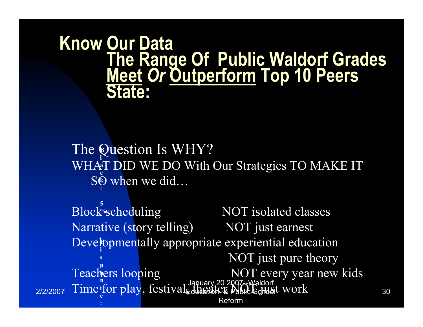# **Know Our Data** The Range Of Public Waldorf Grades<br>Meet Or Outperform Top 10 Peers<br>State:

The Question Is WHY? WHAT DID WE DO With Our Strategies TO MAKE IT SC when we did...

Block'scheduling NOT isolated classes Narrative (story telling) NOT just earnest Developmentally appropriate experiential education NOT just pure theory Teachers looping<br>Time for play, festival de la propresent and the school work 2/2/2007 Reform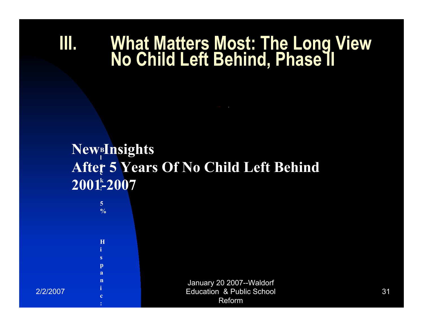### What Matters Most: The Long View<br>No Child Left Behind, Phase II MU

### NewBInsights After 5 Years Of No Child Left Behind  $2001 - 2007$

2/2/2007

 $\overline{5}$  $\frac{0}{0}$ 

H

 $\mathbf{s}$  $\mathbf{D}$  $\overline{a}$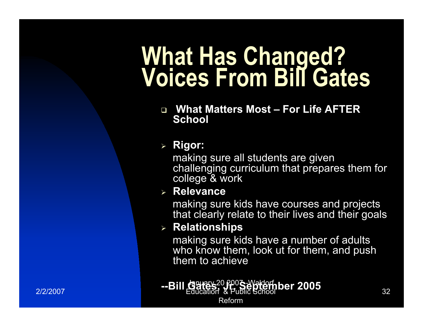## **What Has Changed? Voices From Bill Gates**

 $\Box$  **What Matters Most - For Life AFTER** School

#### $\triangleright$  **Rigor:**

making sure all students are given challenging curriculum that prepares them for college & work

#### % **>%8%?".3%**

making sure kids have courses and projects that clearly relate to their lives and their goals

#### $\triangleright$  **Relationships**

making sure kids have a number of adults who know them, look ut for them, and push them to achieve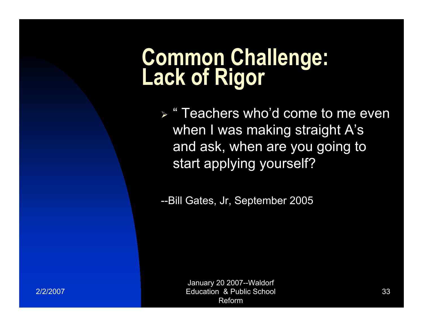# Common Challenge:<br>Lack of Rigor

► "Teachers who'd come to me even when I was making straight A's and ask, when are you going to start applying yourself?

--Bill Gates, Jr, September 2005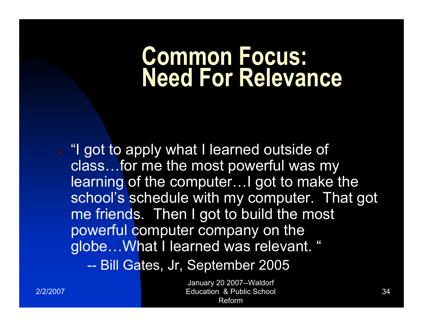## **Common Focus: Need For Relevance**

 $\triangleright$  "I got to apply what I learned outside of class...for me the most powerful was my learning of the computer... I got to make the school's schedule with my computer. That got me friends. Then I got to build the most powerful computer company on the globe... What I learned was relevant. "

-- Bill Gates, Jr, September 2005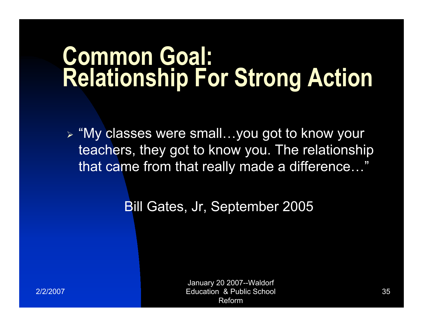## **Common Goal: Relationship For Strong Action**

> "My classes were small...you got to know your teachers, they got to know you. The relationship that came from that really made a difference..."

**Bill Gates, Jr. September 2005**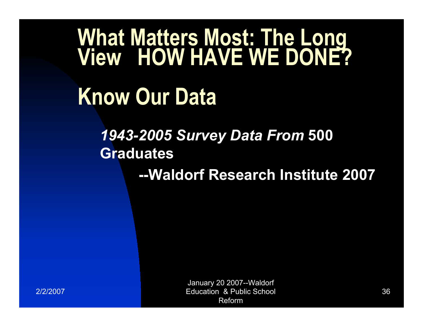# What Matters Most: The Long<br>View HOW HAVE WE DONE?

## **Know Our Data**

### **1943-2005 Survey Data From 500 Graduates**

--Waldorf Research Institute 2007

2/2/2007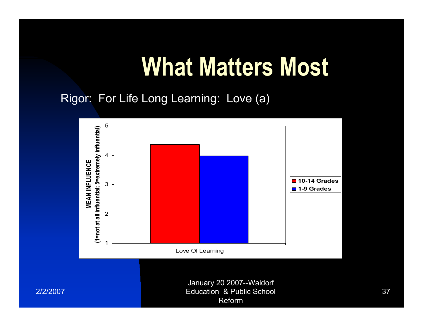Rigor: For Life Long Learning: Love (a)



**Education & Public School** Reform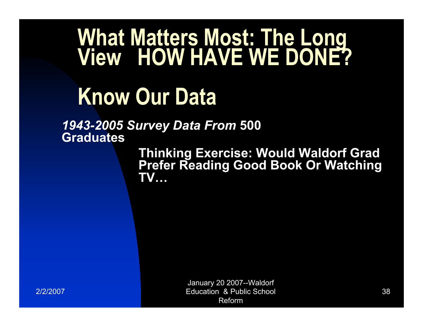# What Matters Most: The Long<br>View HOW HAVE WE DONE?

## **Know Our Data**

1943-2005 Survey Data From 500 **Graduates** 

> **Thinking Exercise: Would Waldorf Grad Prefer Reading Good Book Or Watching TV...**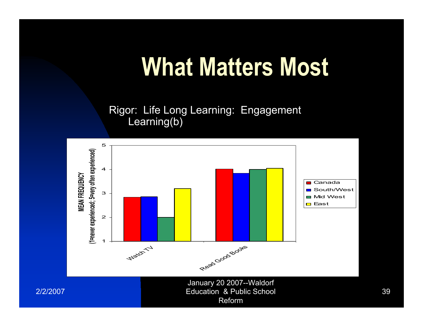Rigor: Life Long Learning: Engagement Learning(b)

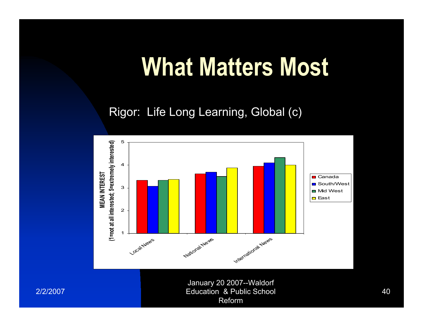Rigor: Life Long Learning, Global (c)

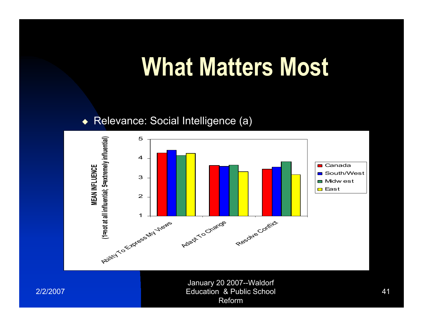#### ◆ Relevance: Social Intelligence (a)



2/2/2007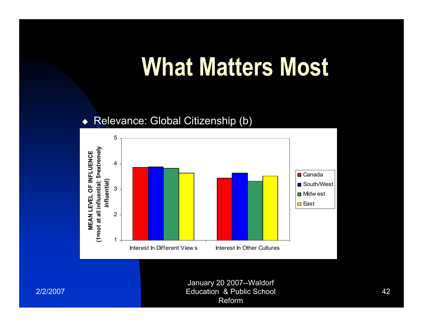#### Relevance: Global Citizenship (b)  $\blacklozenge$



2/2/2007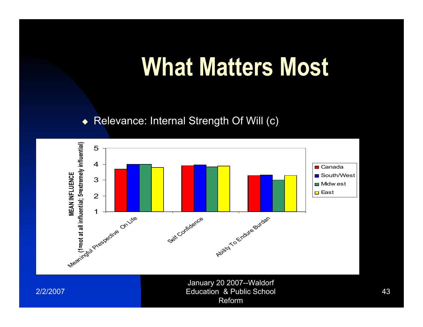#### Relevance: Internal Strength Of Will (c)  $\blacklozenge$



2/2/2007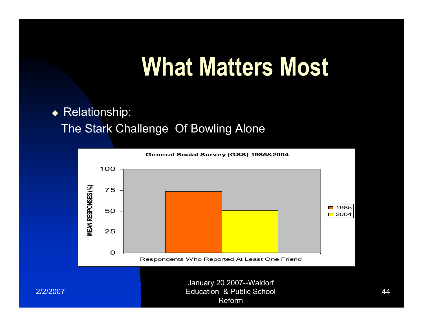◆ Relationship:

The Stark Challenge Of Bowling Alone

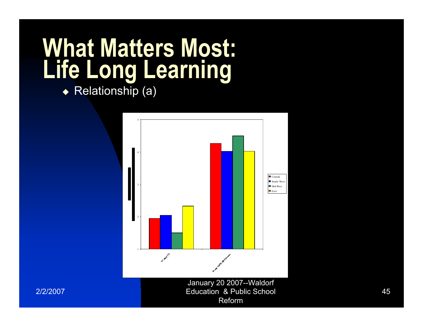◆ Relationship (a)

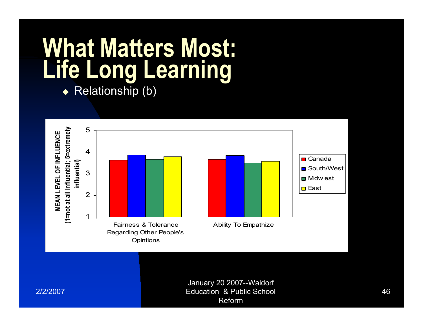$\rightarrow$  Relationship (b)

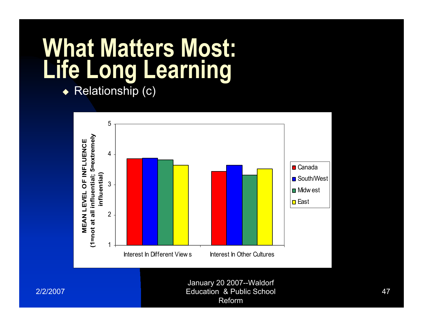◆ Relationship (c)



2/2/2007

**Education & Public School** Reform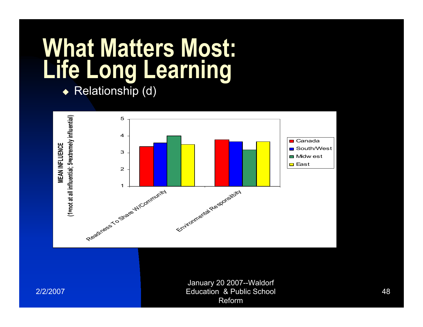◆ Relationship (d)



2/2/2007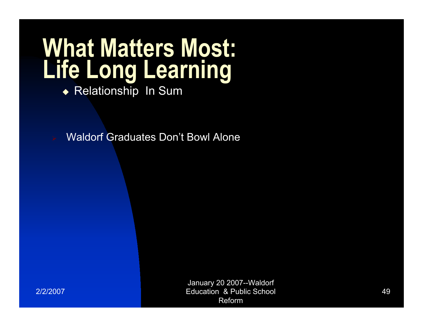◆ Relationship In Sum

**Waldorf Graduates Don't Bowl Alone**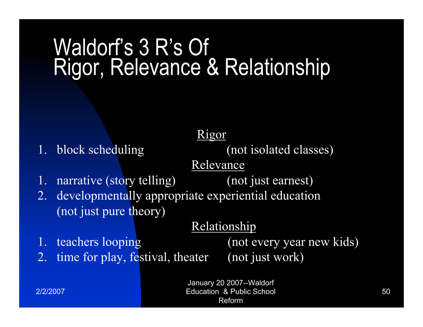## Waldorf's 3 R's Of Rigor, Relevance & Relationship

1. block scheduling

Rigor

(not isolated classes)

(not just earnest)

Relevance

narrative (story telling)  $1.$ 

2. developmentally appropriate experiential education (not just pure theory)

#### Relationship

1. teachers looping

2. time for play, festival, theater

(not every year new kids) (not just work)

2/2/2007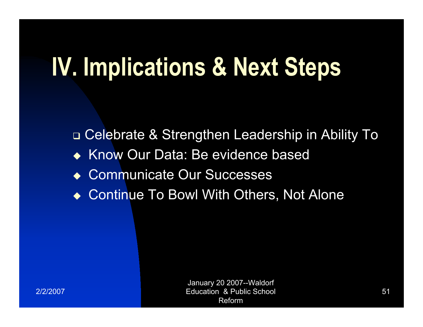## **IV. Implications & Next Steps**

□ Celebrate & Strengthen Leadership in Ability To Know Our Data: Be evidence based  $\bullet$ **Communicate Our Successes**  $\blacktriangle$ **Continue To Bowl With Others, Not Alone**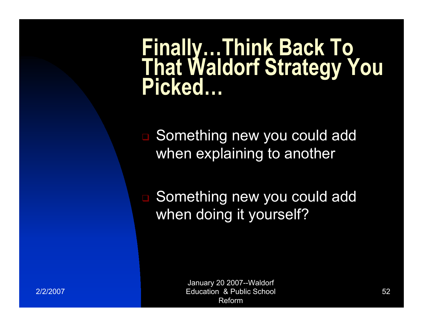# Finally...Think Back To<br>That Waldorf Strategy You<br>Picked...

□ Something new you could add when explaining to another

□ Something new you could add when doing it yourself?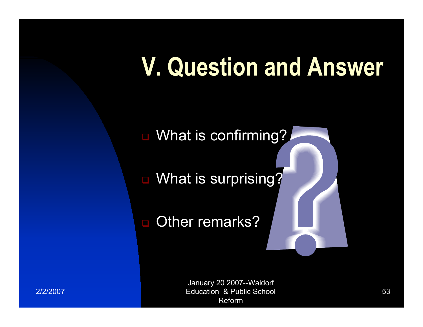## **V. Question and Answer**

■ What is confirming?

What is surprising?

Other remarks?  $\blacksquare$